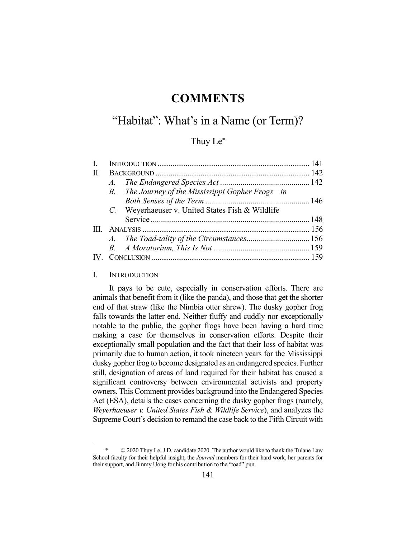# **COMMENTS**

## "Habitat": What's in a Name (or Term)?

## Thuy Le\*

| II.   |                                                   |  |
|-------|---------------------------------------------------|--|
|       | $A$ .                                             |  |
|       | B. The Journey of the Mississippi Gopher Frogs-in |  |
|       |                                                   |  |
|       | C. Weyerhaeuser v. United States Fish & Wildlife  |  |
|       |                                                   |  |
| $\Pi$ |                                                   |  |
|       |                                                   |  |
|       |                                                   |  |
|       |                                                   |  |
|       |                                                   |  |

## I. INTRODUCTION

 It pays to be cute, especially in conservation efforts. There are animals that benefit from it (like the panda), and those that get the shorter end of that straw (like the Nimbia otter shrew). The dusky gopher frog falls towards the latter end. Neither fluffy and cuddly nor exceptionally notable to the public, the gopher frogs have been having a hard time making a case for themselves in conservation efforts. Despite their exceptionally small population and the fact that their loss of habitat was primarily due to human action, it took nineteen years for the Mississippi dusky gopher frog to become designated as an endangered species. Further still, designation of areas of land required for their habitat has caused a significant controversy between environmental activists and property owners. This Comment provides background into the Endangered Species Act (ESA), details the cases concerning the dusky gopher frogs (namely, *Weyerhaeuser v. United States Fish & Wildlife Service*), and analyzes the Supreme Court's decision to remand the case back to the Fifth Circuit with

 <sup>\* © 2020</sup> Thuy Le. J.D. candidate 2020. The author would like to thank the Tulane Law School faculty for their helpful insight, the *Journal* members for their hard work, her parents for their support, and Jimmy Uong for his contribution to the "toad" pun.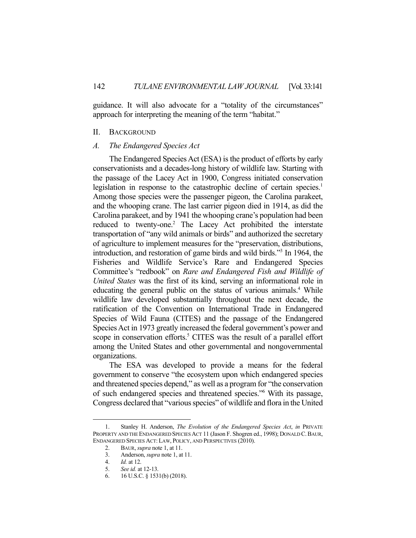guidance. It will also advocate for a "totality of the circumstances" approach for interpreting the meaning of the term "habitat."

### II. BACKGROUND

### *A. The Endangered Species Act*

 The Endangered Species Act (ESA) is the product of efforts by early conservationists and a decades-long history of wildlife law. Starting with the passage of the Lacey Act in 1900, Congress initiated conservation legislation in response to the catastrophic decline of certain species.<sup>1</sup> Among those species were the passenger pigeon, the Carolina parakeet, and the whooping crane. The last carrier pigeon died in 1914, as did the Carolina parakeet, and by 1941 the whooping crane's population had been reduced to twenty-one.<sup>2</sup> The Lacey Act prohibited the interstate transportation of "any wild animals or birds" and authorized the secretary of agriculture to implement measures for the "preservation, distributions, introduction, and restoration of game birds and wild birds."3 In 1964, the Fisheries and Wildlife Service's Rare and Endangered Species Committee's "redbook" on *Rare and Endangered Fish and Wildlife of United States* was the first of its kind, serving an informational role in educating the general public on the status of various animals.<sup>4</sup> While wildlife law developed substantially throughout the next decade, the ratification of the Convention on International Trade in Endangered Species of Wild Fauna (CITES) and the passage of the Endangered Species Act in 1973 greatly increased the federal government's power and scope in conservation efforts.<sup>5</sup> CITES was the result of a parallel effort among the United States and other governmental and nongovernmental organizations.

 The ESA was developed to provide a means for the federal government to conserve "the ecosystem upon which endangered species and threatened species depend," as well as a program for "the conservation of such endangered species and threatened species."6 With its passage, Congress declared that "various species" of wildlife and flora in the United

 <sup>1.</sup> Stanley H. Anderson, *The Evolution of the Endangered Species Act*, *in* PRIVATE PROPERTY AND THE ENDANGERED SPECIES ACT 11 (Jason F. Shogren ed., 1998); DONALD C.BAUR, ENDANGERED SPECIES ACT: LAW, POLICY, AND PERSPECTIVES (2010).

 <sup>2.</sup> BAUR, *supra* note 1, at 11.

 <sup>3.</sup> Anderson, *supra* note 1, at 11.

 <sup>4.</sup> *Id.* at 12.

 <sup>5.</sup> *See id.* at 12-13.

 <sup>6. 16</sup> U.S.C. § 1531(b) (2018).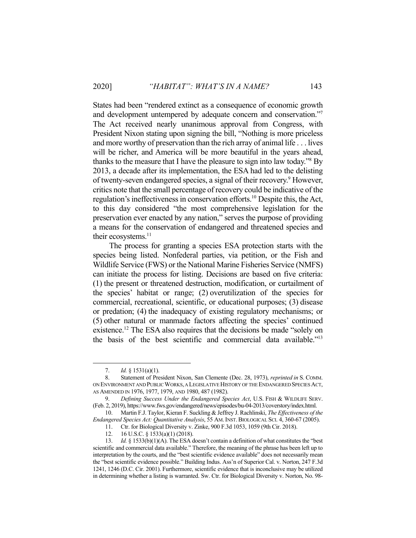States had been "rendered extinct as a consequence of economic growth and development untempered by adequate concern and conservation."7 The Act received nearly unanimous approval from Congress, with President Nixon stating upon signing the bill, "Nothing is more priceless and more worthy of preservation than the rich array of animal life . . . lives will be richer, and America will be more beautiful in the years ahead, thanks to the measure that I have the pleasure to sign into law today."<sup>8</sup> By 2013, a decade after its implementation, the ESA had led to the delisting of twenty-seven endangered species, a signal of their recovery.<sup>9</sup> However, critics note that the small percentage of recovery could be indicative of the regulation's ineffectiveness in conservation efforts.<sup>10</sup> Despite this, the Act, to this day considered "the most comprehensive legislation for the preservation ever enacted by any nation," serves the purpose of providing a means for the conservation of endangered and threatened species and their ecosystems.<sup>11</sup>

 The process for granting a species ESA protection starts with the species being listed. Nonfederal parties, via petition, or the Fish and Wildlife Service (FWS) or the National Marine Fisheries Service (NMFS) can initiate the process for listing. Decisions are based on five criteria: (1) the present or threatened destruction, modification, or curtailment of the species' habitat or range; (2) overutilization of the species for commercial, recreational, scientific, or educational purposes; (3) disease or predation; (4) the inadequacy of existing regulatory mechanisms; or (5) other natural or manmade factors affecting the species' continued existence.12 The ESA also requires that the decisions be made "solely on the basis of the best scientific and commercial data available."13

 <sup>7.</sup> *Id.* § 1531(a)(1).

 <sup>8.</sup> Statement of President Nixon, San Clemente (Dec. 28, 1973), *reprinted in* S. COMM. ON ENVIRONMENT AND PUBLIC WORKS, A LEGISLATIVE HISTORY OF THE ENDANGERED SPECIES ACT, AS AMENDED IN 1976, 1977, 1979, AND 1980, 487 (1982).

 <sup>9.</sup> *Defining Success Under the Endangered Species Act*, U.S. FISH & WILDLIFE SERV. (Feb. 2, 2019), https://www.fws.gov/endangered/news/episodes/bu-04-2013/coverstory/index.html.

 <sup>10.</sup> Martin F.J. Taylor, Kieran F. Suckling & Jeffrey J. Rachlinski, *The Effectiveness of the Endangered Species Act: Quantitative Analysis*, 55 AM.INST.BIOLOGICAL SCI. 4, 360-67 (2005).

<sup>11.</sup> Ctr. for Biological Diversity v. Zinke, 900 F.3d 1053, 1059 (9th Cir. 2018).

 <sup>12. 16</sup> U.S.C. § 1533(a)(1) (2018).

<sup>13.</sup> *Id.* § 1533(b)(1)(A). The ESA doesn't contain a definition of what constitutes the "best scientific and commercial data available." Therefore, the meaning of the phrase has been left up to interpretation by the courts, and the "best scientific evidence available" does not necessarily mean the "best scientific evidence possible." Building Indus. Ass'n of Superior Cal. v. Norton, 247 F.3d 1241, 1246 (D.C. Cir. 2001). Furthermore, scientific evidence that is inconclusive may be utilized in determining whether a listing is warranted. Sw. Ctr. for Biological Diversity v. Norton, No. 98-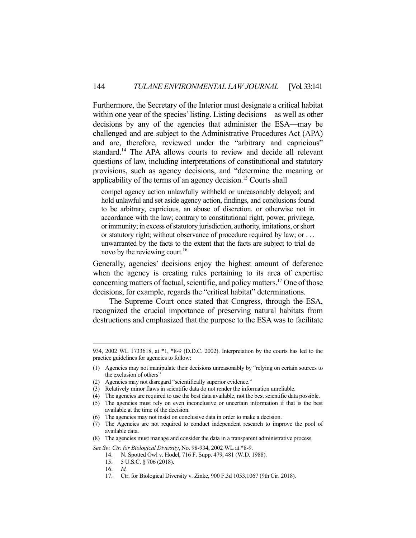Furthermore, the Secretary of the Interior must designate a critical habitat within one year of the species' listing. Listing decisions—as well as other decisions by any of the agencies that administer the ESA—may be challenged and are subject to the Administrative Procedures Act (APA) and are, therefore, reviewed under the "arbitrary and capricious" standard.14 The APA allows courts to review and decide all relevant questions of law, including interpretations of constitutional and statutory provisions, such as agency decisions, and "determine the meaning or applicability of the terms of an agency decision.<sup>15</sup> Courts shall

compel agency action unlawfully withheld or unreasonably delayed; and hold unlawful and set aside agency action, findings, and conclusions found to be arbitrary, capricious, an abuse of discretion, or otherwise not in accordance with the law; contrary to constitutional right, power, privilege, or immunity; in excess of statutory jurisdiction, authority, imitations, or short or statutory right; without observance of procedure required by law; or . . . unwarranted by the facts to the extent that the facts are subject to trial de novo by the reviewing court.<sup>16</sup>

Generally, agencies' decisions enjoy the highest amount of deference when the agency is creating rules pertaining to its area of expertise concerning matters of factual, scientific, and policy matters.17 One of those decisions, for example, regards the "critical habitat" determinations.

 The Supreme Court once stated that Congress, through the ESA, recognized the crucial importance of preserving natural habitats from destructions and emphasized that the purpose to the ESA was to facilitate

<sup>934, 2002</sup> WL 1733618, at \*1, \*8-9 (D.D.C. 2002). Interpretation by the courts has led to the practice guidelines for agencies to follow:

<sup>(1)</sup> Agencies may not manipulate their decisions unreasonably by "relying on certain sources to the exclusion of others"

<sup>(2)</sup> Agencies may not disregard "scientifically superior evidence."

<sup>(3)</sup> Relatively minor flaws in scientific data do not render the information unreliable.

<sup>(4)</sup> The agencies are required to use the best data available, not the best scientific data possible.

<sup>(5)</sup> The agencies must rely on even inconclusive or uncertain information if that is the best available at the time of the decision.

<sup>(6)</sup> The agencies may not insist on conclusive data in order to make a decision.

<sup>(7)</sup> The Agencies are not required to conduct independent research to improve the pool of available data.

<sup>(8)</sup> The agencies must manage and consider the data in a transparent administrative process.

*See Sw. Ctr. for Biological Diversity*, No. 98-934, 2002 WL at \*8-9.

 <sup>14.</sup> N. Spotted Owl v. Hodel, 716 F. Supp. 479, 481 (W.D. 1988).

 <sup>15. 5</sup> U.S.C. § 706 (2018).

 <sup>16.</sup> *Id.* 

 <sup>17.</sup> Ctr. for Biological Diversity v. Zinke, 900 F.3d 1053,1067 (9th Cir. 2018).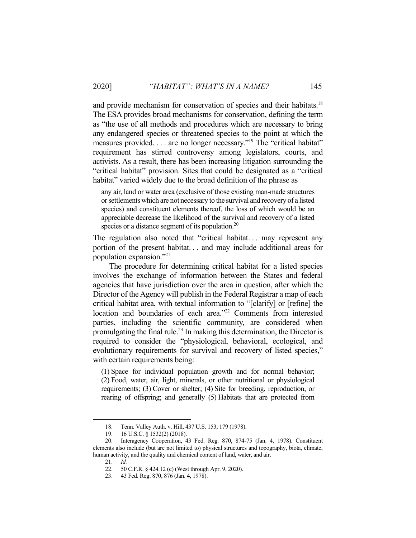and provide mechanism for conservation of species and their habitats.<sup>18</sup> The ESA provides broad mechanisms for conservation, defining the term as "the use of all methods and procedures which are necessary to bring any endangered species or threatened species to the point at which the measures provided. . . . are no longer necessary."<sup>19</sup> The "critical habitat" requirement has stirred controversy among legislators, courts, and activists. As a result, there has been increasing litigation surrounding the "critical habitat" provision. Sites that could be designated as a "critical habitat" varied widely due to the broad definition of the phrase as

any air, land or water area (exclusive of those existing man-made structures or settlements which are not necessary to the survival and recovery of a listed species) and constituent elements thereof, the loss of which would be an appreciable decrease the likelihood of the survival and recovery of a listed species or a distance segment of its population. $20$ 

The regulation also noted that "critical habitat... may represent any portion of the present habitat. . . and may include additional areas for population expansion."21

 The procedure for determining critical habitat for a listed species involves the exchange of information between the States and federal agencies that have jurisdiction over the area in question, after which the Director of the Agency will publish in the Federal Registrar a map of each critical habitat area, with textual information to "[clarify] or [refine] the location and boundaries of each area."<sup>22</sup> Comments from interested parties, including the scientific community, are considered when promulgating the final rule.<sup>23</sup> In making this determination, the Director is required to consider the "physiological, behavioral, ecological, and evolutionary requirements for survival and recovery of listed species," with certain requirements being:

(1) Space for individual population growth and for normal behavior; (2) Food, water, air, light, minerals, or other nutritional or physiological requirements; (3) Cover or shelter; (4) Site for breeding, reproduction, or rearing of offspring; and generally (5) Habitats that are protected from

 <sup>18.</sup> Tenn. Valley Auth. v. Hill, 437 U.S. 153, 179 (1978).

 <sup>19. 16</sup> U.S.C. § 1532(2) (2018).

 <sup>20.</sup> Interagency Cooperation, 43 Fed. Reg. 870, 874-75 (Jan. 4, 1978). Constituent elements also include (but are not limited to) physical structures and topography, biota, climate, human activity, and the quality and chemical content of land, water, and air.

 <sup>21.</sup> *Id.* 

 <sup>22. 50</sup> C.F.R. § 424.12 (c) (West through Apr. 9, 2020).

 <sup>23. 43</sup> Fed. Reg. 870, 876 (Jan. 4, 1978).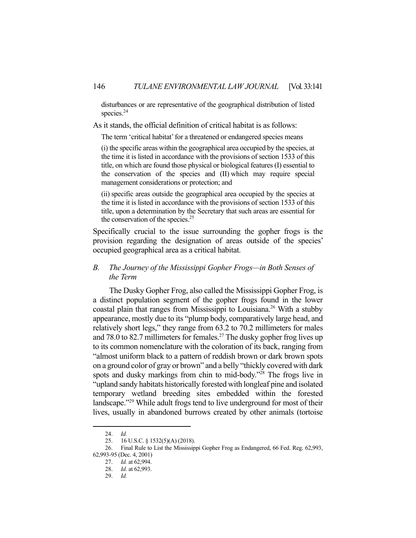disturbances or are representative of the geographical distribution of listed species.<sup>24</sup>

As it stands, the official definition of critical habitat is as follows:

The term 'critical habitat' for a threatened or endangered species means

(i) the specific areas within the geographical area occupied by the species, at the time it is listed in accordance with the provisions of section 1533 of this title, on which are found those physical or biological features (I) essential to the conservation of the species and (II) which may require special management considerations or protection; and

(ii) specific areas outside the geographical area occupied by the species at the time it is listed in accordance with the provisions of section 1533 of this title, upon a determination by the Secretary that such areas are essential for the conservation of the species. $25$ 

Specifically crucial to the issue surrounding the gopher frogs is the provision regarding the designation of areas outside of the species' occupied geographical area as a critical habitat.

## *B. The Journey of the Mississippi Gopher Frogs—in Both Senses of the Term*

 The Dusky Gopher Frog, also called the Mississippi Gopher Frog, is a distinct population segment of the gopher frogs found in the lower coastal plain that ranges from Mississippi to Louisiana.<sup>26</sup> With a stubby appearance, mostly due to its "plump body, comparatively large head, and relatively short legs," they range from 63.2 to 70.2 millimeters for males and 78.0 to 82.7 millimeters for females.<sup>27</sup> The dusky gopher frog lives up to its common nomenclature with the coloration of its back, ranging from "almost uniform black to a pattern of reddish brown or dark brown spots on a ground color of gray or brown" and a belly "thickly covered with dark spots and dusky markings from chin to mid-body."28 The frogs live in "upland sandy habitats historically forested with longleaf pine and isolated temporary wetland breeding sites embedded within the forested landscape."29 While adult frogs tend to live underground for most of their lives, usually in abandoned burrows created by other animals (tortoise

 <sup>24.</sup> *Id.* 

 <sup>25. 16</sup> U.S.C. § 1532(5)(A) (2018).

 <sup>26.</sup> Final Rule to List the Mississippi Gopher Frog as Endangered, 66 Fed. Reg. 62,993, 62,993-95 (Dec. 4, 2001)

 <sup>27.</sup> *Id.* at 62,994.

 <sup>28.</sup> *Id.* at 62,993.

 <sup>29.</sup> *Id.*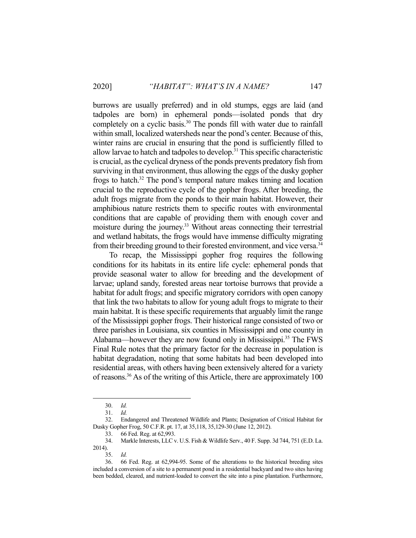burrows are usually preferred) and in old stumps, eggs are laid (and tadpoles are born) in ephemeral ponds—isolated ponds that dry completely on a cyclic basis.<sup>30</sup> The ponds fill with water due to rainfall within small, localized watersheds near the pond's center. Because of this, winter rains are crucial in ensuring that the pond is sufficiently filled to allow larvae to hatch and tadpoles to develop.31 This specific characteristic is crucial, as the cyclical dryness of the ponds prevents predatory fish from surviving in that environment, thus allowing the eggs of the dusky gopher frogs to hatch.32 The pond's temporal nature makes timing and location crucial to the reproductive cycle of the gopher frogs. After breeding, the adult frogs migrate from the ponds to their main habitat. However, their amphibious nature restricts them to specific routes with environmental conditions that are capable of providing them with enough cover and moisture during the journey.<sup>33</sup> Without areas connecting their terrestrial and wetland habitats, the frogs would have immense difficulty migrating from their breeding ground to their forested environment, and vice versa.<sup>34</sup>

 To recap, the Mississippi gopher frog requires the following conditions for its habitats in its entire life cycle: ephemeral ponds that provide seasonal water to allow for breeding and the development of larvae; upland sandy, forested areas near tortoise burrows that provide a habitat for adult frogs; and specific migratory corridors with open canopy that link the two habitats to allow for young adult frogs to migrate to their main habitat. It is these specific requirements that arguably limit the range of the Mississippi gopher frogs. Their historical range consisted of two or three parishes in Louisiana, six counties in Mississippi and one county in Alabama—however they are now found only in Mississippi.<sup>35</sup> The FWS Final Rule notes that the primary factor for the decrease in population is habitat degradation, noting that some habitats had been developed into residential areas, with others having been extensively altered for a variety of reasons.36 As of the writing of this Article, there are approximately 100

 <sup>30.</sup> *Id.* 

 <sup>31.</sup> *Id.* 

 <sup>32.</sup> Endangered and Threatened Wildlife and Plants; Designation of Critical Habitat for Dusky Gopher Frog, 50 C.F.R. pt. 17, at 35,118, 35,129-30 (June 12, 2012).

 <sup>33. 66</sup> Fed. Reg. at 62,993.

 <sup>34.</sup> Markle Interests, LLC v. U.S. Fish & Wildlife Serv., 40 F. Supp. 3d 744, 751 (E.D. La. 2014).

 <sup>35.</sup> *Id.* 

 <sup>36. 66</sup> Fed. Reg. at 62,994-95. Some of the alterations to the historical breeding sites included a conversion of a site to a permanent pond in a residential backyard and two sites having been bedded, cleared, and nutrient-loaded to convert the site into a pine plantation. Furthermore,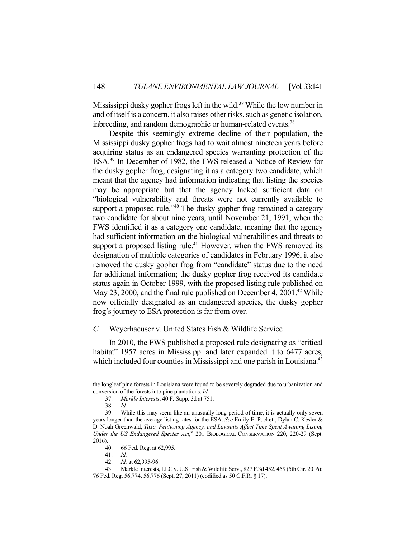Mississippi dusky gopher frogs left in the wild.<sup>37</sup> While the low number in and of itself is a concern, it also raises other risks, such as genetic isolation, inbreeding, and random demographic or human-related events.<sup>38</sup>

 Despite this seemingly extreme decline of their population, the Mississippi dusky gopher frogs had to wait almost nineteen years before acquiring status as an endangered species warranting protection of the ESA.39 In December of 1982, the FWS released a Notice of Review for the dusky gopher frog, designating it as a category two candidate, which meant that the agency had information indicating that listing the species may be appropriate but that the agency lacked sufficient data on "biological vulnerability and threats were not currently available to support a proposed rule."<sup>40</sup> The dusky gopher frog remained a category two candidate for about nine years, until November 21, 1991, when the FWS identified it as a category one candidate, meaning that the agency had sufficient information on the biological vulnerabilities and threats to support a proposed listing rule.<sup>41</sup> However, when the FWS removed its designation of multiple categories of candidates in February 1996, it also removed the dusky gopher frog from "candidate" status due to the need for additional information; the dusky gopher frog received its candidate status again in October 1999, with the proposed listing rule published on May 23, 2000, and the final rule published on December 4,  $2001<sup>42</sup>$  While now officially designated as an endangered species, the dusky gopher frog's journey to ESA protection is far from over.

## *C.* Weyerhaeuser v. United States Fish & Wildlife Service

 In 2010, the FWS published a proposed rule designating as "critical habitat" 1957 acres in Mississippi and later expanded it to 6477 acres, which included four counties in Mississippi and one parish in Louisiana.<sup>43</sup>

the longleaf pine forests in Louisiana were found to be severely degraded due to urbanization and conversion of the forests into pine plantations. *Id.*

 <sup>37.</sup> *Markle Interests*, 40 F. Supp. 3d at 751.

 <sup>38.</sup> *Id.* 

 <sup>39.</sup> While this may seem like an unusually long period of time, it is actually only seven years longer than the average listing rates for the ESA. *See* Emily E. Puckett, Dylan C. Kesler & D. Noah Greenwald, *Taxa, Petitioning Agency, and Lawsuits Affect Time Spent Awaiting Listing Under the US Endangered Species Act*," 201 BIOLOGICAL CONSERVATION 220, 220-29 (Sept. 2016).

 <sup>40. 66</sup> Fed. Reg. at 62,995.

 <sup>41.</sup> *Id.* 

 <sup>42.</sup> *Id.* at 62,995-96.

 <sup>43.</sup> Markle Interests, LLC v. U.S. Fish & Wildlife Serv., 827 F.3d 452, 459 (5th Cir. 2016); 76 Fed. Reg. 56,774, 56,776 (Sept. 27, 2011) (codified as 50 C.F.R. § 17).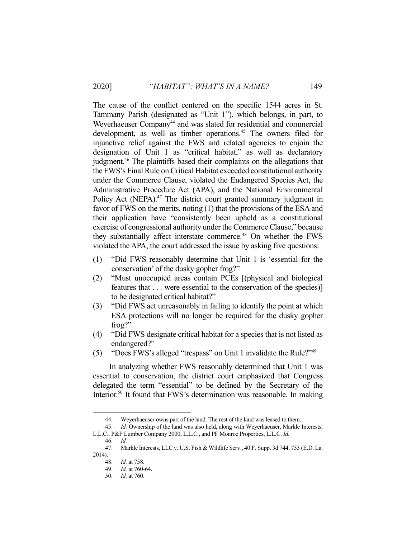The cause of the conflict centered on the specific 1544 acres in St. Tammany Parish (designated as "Unit 1"), which belongs, in part, to Weyerhaeuser Company<sup>44</sup> and was slated for residential and commercial development, as well as timber operations.<sup>45</sup> The owners filed for injunctive relief against the FWS and related agencies to enjoin the designation of Unit 1 as "critical habitat," as well as declaratory judgment.46 The plaintiffs based their complaints on the allegations that the FWS's Final Rule on Critical Habitat exceeded constitutional authority under the Commerce Clause, violated the Endangered Species Act, the Administrative Procedure Act (APA), and the National Environmental Policy Act (NEPA).<sup>47</sup> The district court granted summary judgment in favor of FWS on the merits, noting (1) that the provisions of the ESA and their application have "consistently been upheld as a constitutional exercise of congressional authority under the Commerce Clause," because they substantially affect interstate commerce.<sup>48</sup> On whether the FWS violated the APA, the court addressed the issue by asking five questions:

- (1) "Did FWS reasonably determine that Unit 1 is 'essential for the conservation' of the dusky gopher frog?"
- (2) "Must unoccupied areas contain PCEs [(physical and biological features that . . . were essential to the conservation of the species)] to be designated critical habitat?"
- (3) "Did FWS act unreasonably in failing to identify the point at which ESA protections will no longer be required for the dusky gopher frog?"
- (4) "Did FWS designate critical habitat for a species that is not listed as endangered?"
- (5) "Does FWS's alleged "trespass" on Unit 1 invalidate the Rule?"49

 In analyzing whether FWS reasonably determined that Unit 1 was essential to conservation, the district court emphasized that Congress delegated the term "essential" to be defined by the Secretary of the Interior.50 It found that FWS's determination was reasonable. In making

 <sup>44.</sup> Weyerhaeuser owns part of the land. The rest of the land was leased to them.

 <sup>45.</sup> *Id.* Ownership of the land was also held, along with Weyerhaeuser, Markle Interests, L.L.C., P&F Lumber Company 2000, L.L.C., and PF Monroe Properties, L.L.C. *Id.*

 <sup>46.</sup> *Id.* 

 <sup>47.</sup> Markle Interests, LLC v. U.S. Fish & Wildlife Serv., 40 F. Supp. 3d 744, 753 (E.D. La. 2014).

 <sup>48.</sup> *Id.* at 758.

 <sup>49.</sup> *Id.* at 760-64.

 <sup>50.</sup> *Id.* at 760.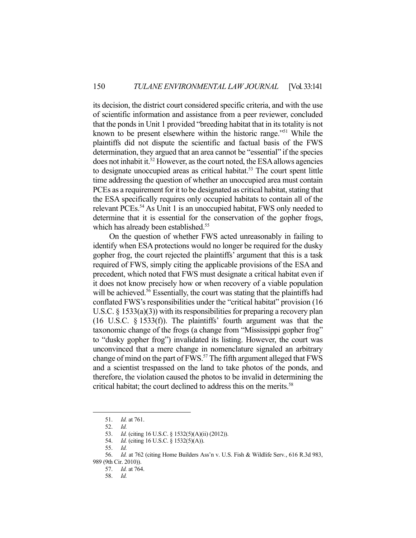its decision, the district court considered specific criteria, and with the use of scientific information and assistance from a peer reviewer, concluded that the ponds in Unit 1 provided "breeding habitat that in its totality is not known to be present elsewhere within the historic range."51 While the plaintiffs did not dispute the scientific and factual basis of the FWS determination, they argued that an area cannot be "essential" if the species does not inhabit it.<sup>52</sup> However, as the court noted, the ESA allows agencies to designate unoccupied areas as critical habitat.<sup>53</sup> The court spent little time addressing the question of whether an unoccupied area must contain PCEs as a requirement for it to be designated as critical habitat, stating that the ESA specifically requires only occupied habitats to contain all of the relevant PCEs.<sup>54</sup> As Unit 1 is an unoccupied habitat, FWS only needed to determine that it is essential for the conservation of the gopher frogs, which has already been established.<sup>55</sup>

 On the question of whether FWS acted unreasonably in failing to identify when ESA protections would no longer be required for the dusky gopher frog, the court rejected the plaintiffs' argument that this is a task required of FWS, simply citing the applicable provisions of the ESA and precedent, which noted that FWS must designate a critical habitat even if it does not know precisely how or when recovery of a viable population will be achieved.<sup>56</sup> Essentially, the court was stating that the plaintiffs had conflated FWS's responsibilities under the "critical habitat" provision (16 U.S.C.  $\S$  1533(a)(3)) with its responsibilities for preparing a recovery plan (16 U.S.C. § 1533(f)). The plaintiffs' fourth argument was that the taxonomic change of the frogs (a change from "Mississippi gopher frog" to "dusky gopher frog") invalidated its listing. However, the court was unconvinced that a mere change in nomenclature signaled an arbitrary change of mind on the part of FWS.<sup>57</sup> The fifth argument alleged that FWS and a scientist trespassed on the land to take photos of the ponds, and therefore, the violation caused the photos to be invalid in determining the critical habitat; the court declined to address this on the merits.<sup>58</sup>

 <sup>51.</sup> *Id.* at 761.

 <sup>52.</sup> *Id. Id.* (citing 16 U.S.C. § 1532(5)(A)(ii) (2012)).

 <sup>54.</sup> *Id.* (citing 16 U.S.C. § 1532(5)(A)).

 <sup>55.</sup> *Id.* 

 <sup>56.</sup> *Id.* at 762 (citing Home Builders Ass'n v. U.S. Fish & Wildlife Serv*.*, 616 R.3d 983, 989 (9th Cir. 2010)).

 <sup>57.</sup> *Id.* at 764.

 <sup>58.</sup> *Id.*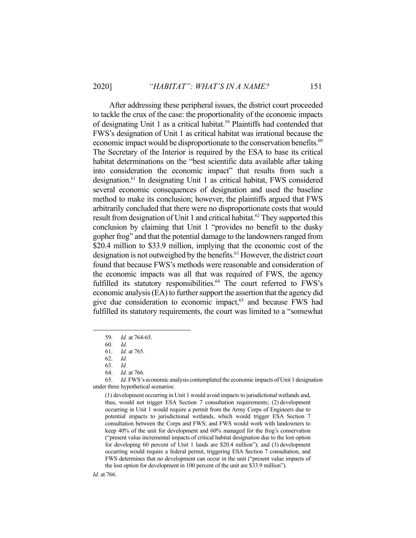After addressing these peripheral issues, the district court proceeded to tackle the crux of the case: the proportionality of the economic impacts of designating Unit 1 as a critical habitat.<sup>59</sup> Plaintiffs had contended that FWS's designation of Unit 1 as critical habitat was irrational because the economic impact would be disproportionate to the conservation benefits.<sup>60</sup> The Secretary of the Interior is required by the ESA to base its critical habitat determinations on the "best scientific data available after taking into consideration the economic impact" that results from such a designation.61 In designating Unit 1 as critical habitat, FWS considered several economic consequences of designation and used the baseline method to make its conclusion; however, the plaintiffs argued that FWS arbitrarily concluded that there were no disproportionate costs that would result from designation of Unit 1 and critical habitat.<sup>62</sup> They supported this conclusion by claiming that Unit 1 "provides no benefit to the dusky gopher frog" and that the potential damage to the landowners ranged from \$20.4 million to \$33.9 million, implying that the economic cost of the designation is not outweighed by the benefits.<sup>63</sup> However, the district court found that because FWS's methods were reasonable and consideration of the economic impacts was all that was required of FWS, the agency fulfilled its statutory responsibilities.<sup>64</sup> The court referred to FWS's economic analysis (EA) to further support the assertion that the agency did give due consideration to economic impact,<sup>65</sup> and because FWS had fulfilled its statutory requirements, the court was limited to a "somewhat

 65. *Id.* FWS's economic analysis contemplated the economic impacts of Unit 1 designation under three hypothetical scenarios:

(1) development occurring in Unit 1 would avoid impacts to jurisdictional wetlands and, thus, would not trigger ESA Section 7 consultation requirements; (2) development occurring in Unit 1 would require a permit from the Army Corps of Engineers due to potential impacts to jurisdictional wetlands, which would trigger ESA Section 7 consultation between the Corps and FWS; and FWS would work with landowners to keep 40% of the unit for development and 60% managed for the frog's conservation ("present value incremental impacts of critical habitat designation due to the lost option for developing 60 percent of Unit 1 lands are \$20.4 million"); and (3) development occurring would require a federal permit, triggering ESA Section 7 consultation, and FWS determines that no development can occur in the unit ("present value impacts of the lost option for development in 100 percent of the unit are \$33.9 million").

*Id.* at 766.

 <sup>59.</sup> *Id.* at 764-65.

 <sup>60.</sup> *Id.* 

 <sup>61.</sup> *Id.* at 765.

 <sup>62.</sup> *Id.* 

 <sup>63.</sup> *Id.* 

 <sup>64.</sup> *Id.* at 766.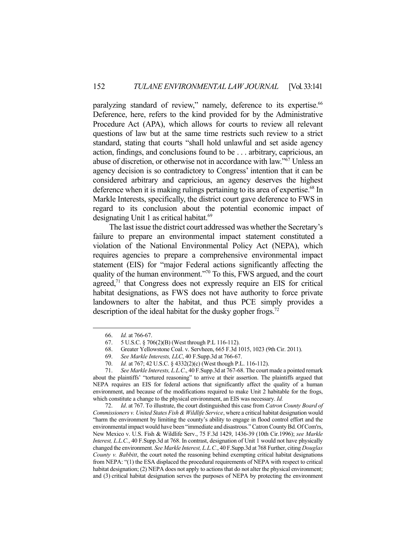paralyzing standard of review," namely, deference to its expertise.<sup>66</sup> Deference, here, refers to the kind provided for by the Administrative Procedure Act (APA), which allows for courts to review all relevant questions of law but at the same time restricts such review to a strict standard, stating that courts "shall hold unlawful and set aside agency action, findings, and conclusions found to be . . . arbitrary, capricious, an abuse of discretion, or otherwise not in accordance with law."67 Unless an agency decision is so contradictory to Congress' intention that it can be considered arbitrary and capricious, an agency deserves the highest deference when it is making rulings pertaining to its area of expertise.<sup>68</sup> In Markle Interests, specifically, the district court gave deference to FWS in regard to its conclusion about the potential economic impact of designating Unit 1 as critical habitat.<sup>69</sup>

 The last issue the district court addressed was whether the Secretary's failure to prepare an environmental impact statement constituted a violation of the National Environmental Policy Act (NEPA), which requires agencies to prepare a comprehensive environmental impact statement (EIS) for "major Federal actions significantly affecting the quality of the human environment."<sup>70</sup> To this, FWS argued, and the court agreed, $71$  that Congress does not expressly require an EIS for critical habitat designations, as FWS does not have authority to force private landowners to alter the habitat, and thus PCE simply provides a description of the ideal habitat for the dusky gopher frogs.<sup>72</sup>

 72. *Id*. at 767. To illustrate, the court distinguished this case from *Catron County Board of Commissioners v. United States Fish & Wildlife Service*, where a critical habitat designation would "harm the environment by limiting the county's ability to engage in flood control effort and the environmental impact would have been "immediate and disastrous." Catron County Bd. Of Com'rs, New Mexico v. U.S. Fish & Wildlife Serv., 75 F.3d 1429, 1436-39 (10th Cir.1996); *see Markle Interest, L.L.C.*, 40 F.Supp.3d at 768. In contrast, designation of Unit 1 would not have physically changed the environment. *See Markle Interest, L.L.C.*, 40 F.Supp.3d at 768 Further, citing *Douglas County v. Babbitt*, the court noted the reasoning behind exempting critical habitat designations from NEPA: "(1) the ESA displaced the procedural requirements of NEPA with respect to critical habitat designation; (2) NEPA does not apply to actions that do not alter the physical environment; and (3) critical habitat designation serves the purposes of NEPA by protecting the environment

 <sup>66.</sup> *Id.* at 766-67.

 <sup>67. 5</sup> U.S.C. § 706(2)(B) (West through P.L 116-112).

 <sup>68.</sup> Greater Yellowstone Coal. v. Servheen, 665 F.3d 1015, 1023 (9th Cir. 2011).

 <sup>69.</sup> *See Markle Interests, LLC*, 40 F.Supp.3d at 766-67.

 <sup>70.</sup> *Id.* at 767; 42 U.S.C. § 4332(2)(c) (West though P.L. 116-112).

 <sup>71.</sup> *See Markle Interests, L.L.C*., 40 F.Supp.3d at 767-68. The court made a pointed remark about the plaintiffs' "tortured reasoning" to arrive at their assertion. The plaintiffs argued that NEPA requires an EIS for federal actions that significantly affect the quality of a human environment, and because of the modifications required to make Unit 2 habitable for the frogs, which constitute a change to the physical environment, an EIS was necessary. *Id.*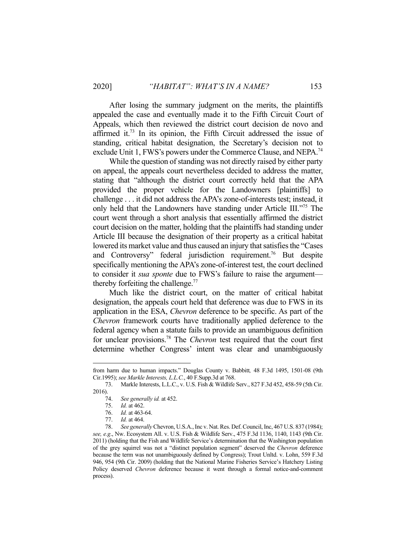After losing the summary judgment on the merits, the plaintiffs appealed the case and eventually made it to the Fifth Circuit Court of Appeals, which then reviewed the district court decision de novo and affirmed it.73 In its opinion, the Fifth Circuit addressed the issue of standing, critical habitat designation, the Secretary's decision not to exclude Unit 1, FWS's powers under the Commerce Clause, and NEPA.<sup>74</sup>

 While the question of standing was not directly raised by either party on appeal, the appeals court nevertheless decided to address the matter, stating that "although the district court correctly held that the APA provided the proper vehicle for the Landowners [plaintiffs] to challenge . . . it did not address the APA's zone-of-interests test; instead, it only held that the Landowners have standing under Article III."75 The court went through a short analysis that essentially affirmed the district court decision on the matter, holding that the plaintiffs had standing under Article III because the designation of their property as a critical habitat lowered its market value and thus caused an injury that satisfies the "Cases and Controversy" federal jurisdiction requirement.<sup>76</sup> But despite specifically mentioning the APA's zone-of-interest test, the court declined to consider it *sua sponte* due to FWS's failure to raise the argument thereby forfeiting the challenge. $77$ 

 Much like the district court, on the matter of critical habitat designation, the appeals court held that deference was due to FWS in its application in the ESA, *Chevron* deference to be specific. As part of the *Chevron* framework courts have traditionally applied deference to the federal agency when a statute fails to provide an unambiguous definition for unclear provisions.78 The *Chevron* test required that the court first determine whether Congress' intent was clear and unambiguously

from harm due to human impacts." Douglas County v. Babbitt*,* 48 F.3d 1495, 1501-08 (9th Cir.1995); *see Markle Interests, L.L.C.*, 40 F.Supp.3d at 768.

 <sup>73.</sup> Markle Interests, L.L.C., v. U.S. Fish & Wildlife Serv., 827 F.3d 452, 458-59 (5th Cir. 2016).

 <sup>74.</sup> *See generally id.* at 452.

 <sup>75.</sup> *Id.* at 462.

 <sup>76.</sup> *Id.* at 463-64.

 <sup>77.</sup> *Id.* at 464.

 <sup>78.</sup> *See generally* Chevron, U.S.A., Inc v. Nat. Res. Def. Council, Inc, 467 U.S. 837 (1984); *see, e.g*., Nw. Ecosystem All. v. U.S. Fish & Wildlife Serv., 475 F.3d 1136, 1140, 1143 (9th Cir. 2011) (holding that the Fish and Wildlife Service's determination that the Washington population of the grey squirrel was not a "distinct population segment" deserved the *Chevron* deference because the term was not unambiguously defined by Congress); Trout Unltd. v. Lohn, 559 F.3d 946, 954 (9th Cir. 2009) (holding that the National Marine Fisheries Service's Hatchery Listing Policy deserved *Chevron* deference because it went through a formal notice-and-comment process).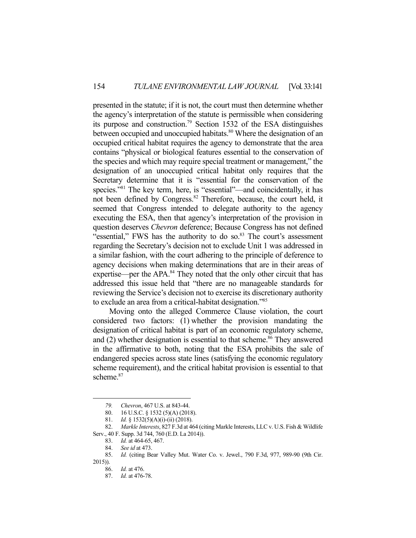presented in the statute; if it is not, the court must then determine whether the agency's interpretation of the statute is permissible when considering its purpose and construction.<sup>79</sup> Section 1532 of the ESA distinguishes between occupied and unoccupied habitats.<sup>80</sup> Where the designation of an occupied critical habitat requires the agency to demonstrate that the area contains "physical or biological features essential to the conservation of the species and which may require special treatment or management," the designation of an unoccupied critical habitat only requires that the Secretary determine that it is "essential for the conservation of the species."<sup>81</sup> The key term, here, is "essential"—and coincidentally, it has not been defined by Congress.82 Therefore, because, the court held, it seemed that Congress intended to delegate authority to the agency executing the ESA, then that agency's interpretation of the provision in question deserves *Chevron* deference; Because Congress has not defined "essential," FWS has the authority to do so.<sup>83</sup> The court's assessment regarding the Secretary's decision not to exclude Unit 1 was addressed in a similar fashion, with the court adhering to the principle of deference to agency decisions when making determinations that are in their areas of expertise—per the APA.<sup>84</sup> They noted that the only other circuit that has addressed this issue held that "there are no manageable standards for reviewing the Service's decision not to exercise its discretionary authority to exclude an area from a critical-habitat designation."85

 Moving onto the alleged Commerce Clause violation, the court considered two factors: (1) whether the provision mandating the designation of critical habitat is part of an economic regulatory scheme, and  $(2)$  whether designation is essential to that scheme.<sup>86</sup> They answered in the affirmative to both, noting that the ESA prohibits the sale of endangered species across state lines (satisfying the economic regulatory scheme requirement), and the critical habitat provision is essential to that scheme.<sup>87</sup>

 *<sup>79.</sup> Chevron*, 467 U.S. at 843-44.

 <sup>80. 16</sup> U.S.C. § 1532 (5)(A) (2018).

 <sup>81.</sup> *Id.* § 1532(5)(A)(i)-(ii) (2018).

 <sup>82.</sup> *Markle Interests*, 827 F.3d at 464 (citing Markle Interests, LLC v. U.S. Fish & Wildlife Serv., 40 F. Supp. 3d 744, 760 (E.D. La 2014)).

 <sup>83.</sup> *Id.* at 464-65, 467.

 <sup>84.</sup> *See id* at 473.

 <sup>85.</sup> *Id.* (citing Bear Valley Mut. Water Co. v. Jewel., 790 F.3d, 977, 989-90 (9th Cir.

<sup>2015)).</sup> 

 <sup>86.</sup> *Id.* at 476.

 <sup>87.</sup> *Id.* at 476-78.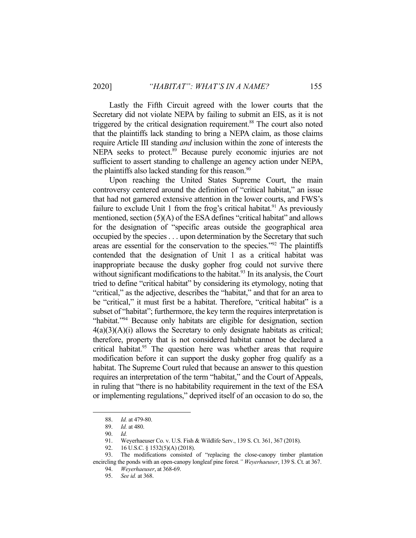Lastly the Fifth Circuit agreed with the lower courts that the Secretary did not violate NEPA by failing to submit an EIS, as it is not

triggered by the critical designation requirement.<sup>88</sup> The court also noted that the plaintiffs lack standing to bring a NEPA claim, as those claims require Article III standing *and* inclusion within the zone of interests the NEPA seeks to protect.<sup>89</sup> Because purely economic injuries are not sufficient to assert standing to challenge an agency action under NEPA, the plaintiffs also lacked standing for this reason.<sup>90</sup>

 Upon reaching the United States Supreme Court, the main controversy centered around the definition of "critical habitat," an issue that had not garnered extensive attention in the lower courts, and FWS's failure to exclude Unit 1 from the frog's critical habitat.<sup>91</sup> As previously mentioned, section (5)(A) of the ESA defines "critical habitat" and allows for the designation of "specific areas outside the geographical area occupied by the species . . . upon determination by the Secretary that such areas are essential for the conservation to the species."92 The plaintiffs contended that the designation of Unit 1 as a critical habitat was inappropriate because the dusky gopher frog could not survive there without significant modifications to the habitat. $93$  In its analysis, the Court tried to define "critical habitat" by considering its etymology, noting that "critical," as the adjective, describes the "habitat," and that for an area to be "critical," it must first be a habitat. Therefore, "critical habitat" is a subset of "habitat"; furthermore, the key term the requires interpretation is "habitat."94 Because only habitats are eligible for designation, section  $4(a)(3)(A)(i)$  allows the Secretary to only designate habitats as critical; therefore, property that is not considered habitat cannot be declared a critical habitat.<sup>95</sup> The question here was whether areas that require modification before it can support the dusky gopher frog qualify as a habitat. The Supreme Court ruled that because an answer to this question requires an interpretation of the term "habitat," and the Court of Appeals, in ruling that "there is no habitability requirement in the text of the ESA or implementing regulations," deprived itself of an occasion to do so, the

 <sup>88.</sup> *Id.* at 479-80.

 <sup>89.</sup> *Id.* at 480.

 <sup>90.</sup> *Id.* 

<sup>91.</sup> Weyerhaeuser Co. v. U.S. Fish & Wildlife Serv., 139 S. Ct. 361, 367 (2018).<br>92. 16 U.S.C. § 1532(5)(A) (2018).

<sup>16</sup> U.S.C. § 1532(5)(A) (2018).

 <sup>93.</sup> The modifications consisted of "replacing the close-canopy timber plantation encircling the ponds with an open-canopy longleaf pine forest*." Weyerhaeuser*, 139 S. Ct. at 367.

 <sup>94.</sup> *Weyerhaeuser*, at 368-69.

 <sup>95.</sup> *See id.* at 368.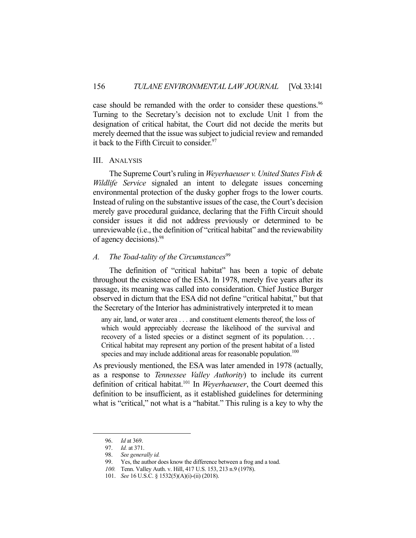case should be remanded with the order to consider these questions.<sup>96</sup> Turning to the Secretary's decision not to exclude Unit 1 from the designation of critical habitat, the Court did not decide the merits but merely deemed that the issue was subject to judicial review and remanded it back to the Fifth Circuit to consider.<sup>97</sup>

## III. ANALYSIS

 The Supreme Court's ruling in *Weyerhaeuser v. United States Fish & Wildlife Service* signaled an intent to delegate issues concerning environmental protection of the dusky gopher frogs to the lower courts. Instead of ruling on the substantive issues of the case, the Court's decision merely gave procedural guidance, declaring that the Fifth Circuit should consider issues it did not address previously or determined to be unreviewable (i.e., the definition of "critical habitat" and the reviewability of agency decisions).98

## *A.* The Toad-tality of the Circumstances<sup>99</sup>

 The definition of "critical habitat" has been a topic of debate throughout the existence of the ESA. In 1978, merely five years after its passage, its meaning was called into consideration. Chief Justice Burger observed in dictum that the ESA did not define "critical habitat," but that the Secretary of the Interior has administratively interpreted it to mean

any air, land, or water area . . . and constituent elements thereof, the loss of which would appreciably decrease the likelihood of the survival and recovery of a listed species or a distinct segment of its population. . . . Critical habitat may represent any portion of the present habitat of a listed species and may include additional areas for reasonable population.<sup>100</sup>

As previously mentioned, the ESA was later amended in 1978 (actually, as a response to *Tennessee Valley Authority*) to include its current definition of critical habitat.101 In *Weyerhaeuser*, the Court deemed this definition to be insufficient, as it established guidelines for determining what is "critical," not what is a "habitat." This ruling is a key to why the

 <sup>96.</sup> *Id* at 369.

 <sup>97.</sup> *Id.* at 371.

 <sup>98.</sup> *See generally id.* 

 <sup>99.</sup> Yes, the author does know the difference between a frog and a toad.

 *<sup>100.</sup>* Tenn. Valley Auth. v. Hill, 417 U.S. 153, 213 n.9 (1978).

 <sup>101.</sup> *See* 16 U.S.C. § 1532(5)(A)(i)-(ii) (2018).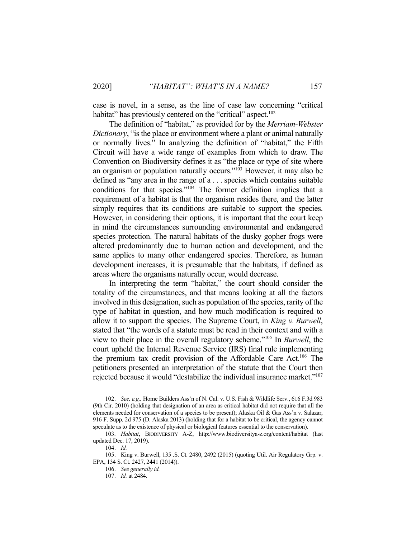case is novel, in a sense, as the line of case law concerning "critical habitat" has previously centered on the "critical" aspect.<sup>102</sup>

 The definition of "habitat," as provided for by the *Merriam-Webster Dictionary*, "is the place or environment where a plant or animal naturally or normally lives." In analyzing the definition of "habitat," the Fifth Circuit will have a wide range of examples from which to draw. The Convention on Biodiversity defines it as "the place or type of site where an organism or population naturally occurs."103 However, it may also be defined as "any area in the range of a . . . species which contains suitable conditions for that species."<sup>104</sup> The former definition implies that a requirement of a habitat is that the organism resides there, and the latter simply requires that its conditions are suitable to support the species. However, in considering their options, it is important that the court keep in mind the circumstances surrounding environmental and endangered species protection. The natural habitats of the dusky gopher frogs were altered predominantly due to human action and development, and the same applies to many other endangered species. Therefore, as human development increases, it is presumable that the habitats, if defined as areas where the organisms naturally occur, would decrease.

 In interpreting the term "habitat," the court should consider the totality of the circumstances, and that means looking at all the factors involved in this designation, such as population of the species, rarity of the type of habitat in question, and how much modification is required to allow it to support the species. The Supreme Court, in *King v. Burwell*, stated that "the words of a statute must be read in their context and with a view to their place in the overall regulatory scheme."105 In *Burwell*, the court upheld the Internal Revenue Service (IRS) final rule implementing the premium tax credit provision of the Affordable Care Act.<sup>106</sup> The petitioners presented an interpretation of the statute that the Court then rejected because it would "destabilize the individual insurance market."107

 <sup>102.</sup> *See, e.g.,* Home Builders Ass'n of N. Cal. v. U.S. Fish & Wildlife Serv., 616 F.3d 983 (9th Cir. 2010) (holding that designation of an area as critical habitat did not require that all the elements needed for conservation of a species to be present); Alaska Oil & Gas Ass'n v. Salazar, 916 F. Supp. 2d 975 (D. Alaska 2013) (holding that for a habitat to be critical, the agency cannot speculate as to the existence of physical or biological features essential to the conservation).

 <sup>103.</sup> *Habitat*, BIODIVERSITY A-Z, http://www.biodiversitya-z.org/content/habitat (last updated Dec. 17, 2019).

 <sup>104.</sup> *Id.* 

 <sup>105.</sup> King v. Burwell, 135 .S. Ct. 2480, 2492 (2015) (quoting Util. Air Regulatory Grp. v. EPA, 134 S. Ct. 2427, 2441 (2014)).

 <sup>106.</sup> *See generally id.* 

 <sup>107.</sup> *Id.* at 2484.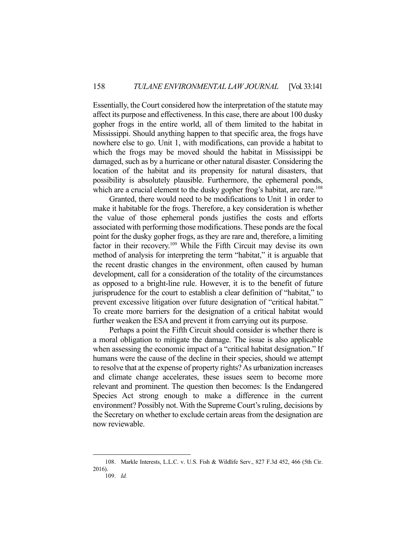Essentially, the Court considered how the interpretation of the statute may affect its purpose and effectiveness. In this case, there are about 100 dusky gopher frogs in the entire world, all of them limited to the habitat in Mississippi. Should anything happen to that specific area, the frogs have nowhere else to go. Unit 1, with modifications, can provide a habitat to which the frogs may be moved should the habitat in Mississippi be damaged, such as by a hurricane or other natural disaster. Considering the location of the habitat and its propensity for natural disasters, that possibility is absolutely plausible. Furthermore, the ephemeral ponds, which are a crucial element to the dusky gopher frog's habitat, are rare.<sup>108</sup>

 Granted, there would need to be modifications to Unit 1 in order to make it habitable for the frogs. Therefore, a key consideration is whether the value of those ephemeral ponds justifies the costs and efforts associated with performing those modifications. These ponds are the focal point for the dusky gopher frogs, as they are rare and, therefore, a limiting factor in their recovery.109 While the Fifth Circuit may devise its own method of analysis for interpreting the term "habitat," it is arguable that the recent drastic changes in the environment, often caused by human development, call for a consideration of the totality of the circumstances as opposed to a bright-line rule. However, it is to the benefit of future jurisprudence for the court to establish a clear definition of "habitat," to prevent excessive litigation over future designation of "critical habitat." To create more barriers for the designation of a critical habitat would further weaken the ESA and prevent it from carrying out its purpose.

 Perhaps a point the Fifth Circuit should consider is whether there is a moral obligation to mitigate the damage. The issue is also applicable when assessing the economic impact of a "critical habitat designation." If humans were the cause of the decline in their species, should we attempt to resolve that at the expense of property rights? As urbanization increases and climate change accelerates, these issues seem to become more relevant and prominent. The question then becomes: Is the Endangered Species Act strong enough to make a difference in the current environment? Possibly not. With the Supreme Court's ruling, decisions by the Secretary on whether to exclude certain areas from the designation are now reviewable.

 <sup>108.</sup> Markle Interests, L.L.C. v. U.S. Fish & Wildlife Serv., 827 F.3d 452, 466 (5th Cir. 2016).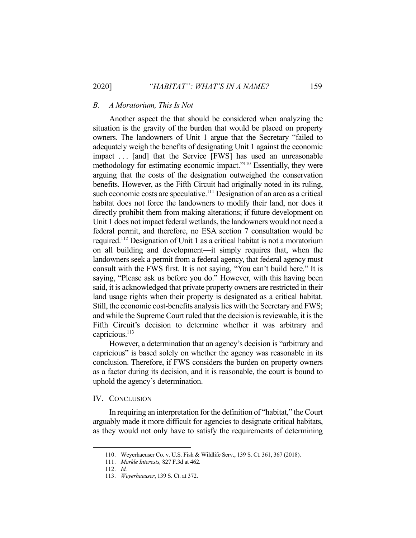### *B. A Moratorium, This Is Not*

 Another aspect the that should be considered when analyzing the situation is the gravity of the burden that would be placed on property owners. The landowners of Unit 1 argue that the Secretary "failed to adequately weigh the benefits of designating Unit 1 against the economic impact . . . [and] that the Service [FWS] has used an unreasonable methodology for estimating economic impact."110 Essentially, they were arguing that the costs of the designation outweighed the conservation benefits. However, as the Fifth Circuit had originally noted in its ruling, such economic costs are speculative.<sup>111</sup> Designation of an area as a critical habitat does not force the landowners to modify their land, nor does it directly prohibit them from making alterations; if future development on Unit 1 does not impact federal wetlands, the landowners would not need a federal permit, and therefore, no ESA section 7 consultation would be required.112 Designation of Unit 1 as a critical habitat is not a moratorium on all building and development—it simply requires that, when the landowners seek a permit from a federal agency, that federal agency must consult with the FWS first. It is not saying, "You can't build here." It is saying, "Please ask us before you do." However, with this having been said, it is acknowledged that private property owners are restricted in their land usage rights when their property is designated as a critical habitat. Still, the economic cost-benefits analysis lies with the Secretary and FWS; and while the Supreme Court ruled that the decision is reviewable, it is the Fifth Circuit's decision to determine whether it was arbitrary and capricious.<sup>113</sup>

 However, a determination that an agency's decision is "arbitrary and capricious" is based solely on whether the agency was reasonable in its conclusion. Therefore, if FWS considers the burden on property owners as a factor during its decision, and it is reasonable, the court is bound to uphold the agency's determination.

### IV. CONCLUSION

 In requiring an interpretation for the definition of "habitat," the Court arguably made it more difficult for agencies to designate critical habitats, as they would not only have to satisfy the requirements of determining

 <sup>110.</sup> Weyerhaeuser Co. v. U.S. Fish & Wildlife Serv., 139 S. Ct. 361, 367 (2018).

 <sup>111.</sup> *Markle Interests,* 827 F.3d at 462.

 <sup>112.</sup> *Id.* 

 <sup>113.</sup> *Weyerhaeuser*, 139 S. Ct. at 372.